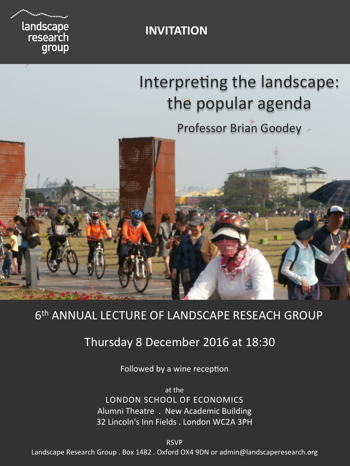landscape<br>research group

#### **INVITATION**

# **Interpreting the landscape: Exploring the popular agenda**

**clues to a just and liveable future Professor Brian Goodey** 



# 6<sup>th</sup> ANNUAL LECTURE OF LANDSCAPE RESEACH GROUP

## **Fig. 1.2.1.30** Thursday 8 December 2016 at 18:30

Followed by a wine reception

LONDON SCHOOL OF ECONOMICS Alumni Theatre . New Academic Building 32 Lincoln's Inn Fields . London WC2A 3PH at the

RSVP 

Landscape Research Group . Box 1482 . Oxford OX4 9DN or admin@landscaperesearch.org